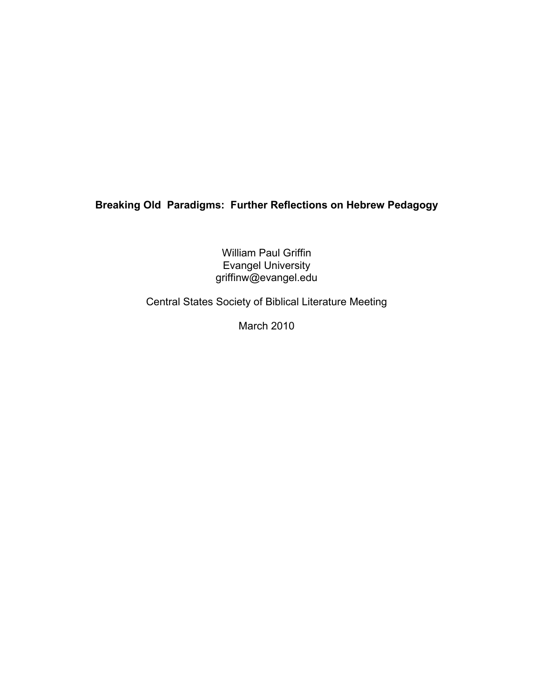# Breaking Old Paradigms: Further Reflections on Hebrew Pedagogy

William Paul Griffin Evangel University griffinw@evangel.edu

Central States Society of Biblical Literature Meeting

March 2010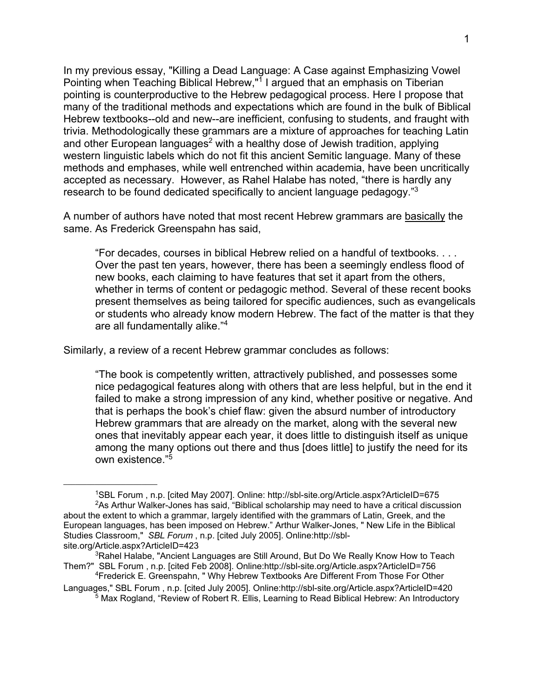In my previous essay, "Killing a Dead Language: A Case against Emphasizing Vowel Pointing when Teaching Biblical Hebrew,"<sup>1</sup> I argued that an emphasis on Tiberian pointing is counterproductive to the Hebrew pedagogical process. Here I propose that many of the traditional methods and expectations which are found in the bulk of Biblical Hebrew textbooks--old and new--are inefficient, confusing to students, and fraught with trivia. Methodologically these grammars are a mixture of approaches for teaching Latin and other European languages<sup>2</sup> with a healthy dose of Jewish tradition, applying western linguistic labels which do not fit this ancient Semitic language. Many of these methods and emphases, while well entrenched within academia, have been uncritically accepted as necessary. However, as Rahel Halabe has noted, "there is hardly any research to be found dedicated specifically to ancient language pedagogy."<sup>3</sup>

A number of authors have noted that most recent Hebrew grammars are basically the same. As Frederick Greenspahn has said,

"For decades, courses in biblical Hebrew relied on a handful of textbooks. . . . Over the past ten years, however, there has been a seemingly endless flood of new books, each claiming to have features that set it apart from the others, whether in terms of content or pedagogic method. Several of these recent books present themselves as being tailored for specific audiences, such as evangelicals or students who already know modern Hebrew. The fact of the matter is that they are all fundamentally alike."<sup>4</sup>

Similarly, a review of a recent Hebrew grammar concludes as follows:

\_\_\_\_\_\_\_\_\_\_\_\_\_\_\_\_\_\_\_\_\_\_\_\_

"The book is competently written, attractively published, and possesses some nice pedagogical features along with others that are less helpful, but in the end it failed to make a strong impression of any kind, whether positive or negative. And that is perhaps the book's chief flaw: given the absurd number of introductory Hebrew grammars that are already on the market, along with the several new ones that inevitably appear each year, it does little to distinguish itself as unique among the many options out there and thus [does little] to justify the need for its own existence."<sup>5</sup>

<sup>1</sup>SBL Forum , n.p. [cited May 2007]. Online: http://sbl-site.org/Article.aspx?ArticleID=675  $2$ As Arthur Walker-Jones has said, "Biblical scholarship may need to have a critical discussion about the extent to which a grammar, largely identified with the grammars of Latin, Greek, and the European languages, has been imposed on Hebrew." Arthur Walker-Jones, " New Life in the Biblical Studies Classroom," SBL Forum , n.p. [cited July 2005]. Online:http://sblsite.org/Article.aspx?ArticleID=423

<sup>&</sup>lt;sup>3</sup>Rahel Halabe, "Ancient Languages are Still Around, But Do We Really Know How to Teach Them?" SBL Forum , n.p. [cited Feb 2008]. Online:http://sbl-site.org/Article.aspx?ArticleID=756

<sup>4</sup>Frederick E. Greenspahn, " Why Hebrew Textbooks Are Different From Those For Other Languages," SBL Forum , n.p. [cited July 2005]. Online:http://sbl-site.org/Article.aspx?ArticleID=420

<sup>&</sup>lt;sup>5</sup> Max Rogland, "Review of Robert R. Ellis, Learning to Read Biblical Hebrew: An Introductory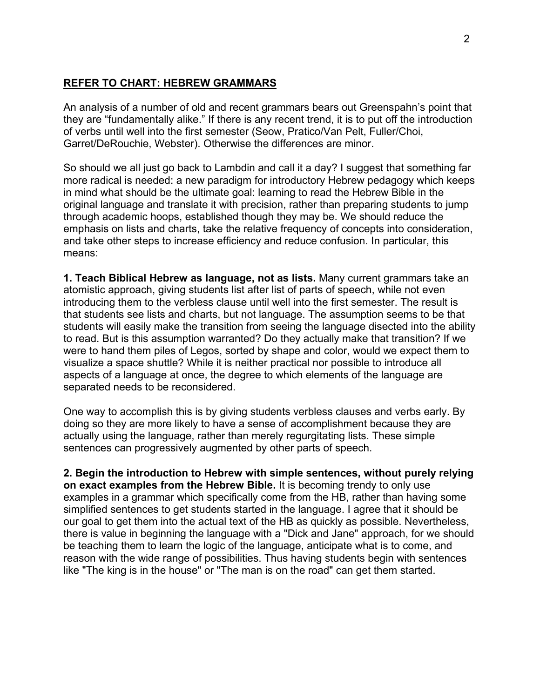### REFER TO CHART: HEBREW GRAMMARS

An analysis of a number of old and recent grammars bears out Greenspahn's point that they are "fundamentally alike." If there is any recent trend, it is to put off the introduction of verbs until well into the first semester (Seow, Pratico/Van Pelt, Fuller/Choi, Garret/DeRouchie, Webster). Otherwise the differences are minor.

So should we all just go back to Lambdin and call it a day? I suggest that something far more radical is needed: a new paradigm for introductory Hebrew pedagogy which keeps in mind what should be the ultimate goal: learning to read the Hebrew Bible in the original language and translate it with precision, rather than preparing students to jump through academic hoops, established though they may be. We should reduce the emphasis on lists and charts, take the relative frequency of concepts into consideration, and take other steps to increase efficiency and reduce confusion. In particular, this means:

1. Teach Biblical Hebrew as language, not as lists. Many current grammars take an atomistic approach, giving students list after list of parts of speech, while not even introducing them to the verbless clause until well into the first semester. The result is that students see lists and charts, but not language. The assumption seems to be that students will easily make the transition from seeing the language disected into the ability to read. But is this assumption warranted? Do they actually make that transition? If we were to hand them piles of Legos, sorted by shape and color, would we expect them to visualize a space shuttle? While it is neither practical nor possible to introduce all aspects of a language at once, the degree to which elements of the language are separated needs to be reconsidered.

One way to accomplish this is by giving students verbless clauses and verbs early. By doing so they are more likely to have a sense of accomplishment because they are actually using the language, rather than merely regurgitating lists. These simple sentences can progressively augmented by other parts of speech.

2. Begin the introduction to Hebrew with simple sentences, without purely relying on exact examples from the Hebrew Bible. It is becoming trendy to only use examples in a grammar which specifically come from the HB, rather than having some simplified sentences to get students started in the language. I agree that it should be our goal to get them into the actual text of the HB as quickly as possible. Nevertheless, there is value in beginning the language with a "Dick and Jane" approach, for we should be teaching them to learn the logic of the language, anticipate what is to come, and reason with the wide range of possibilities. Thus having students begin with sentences like "The king is in the house" or "The man is on the road" can get them started.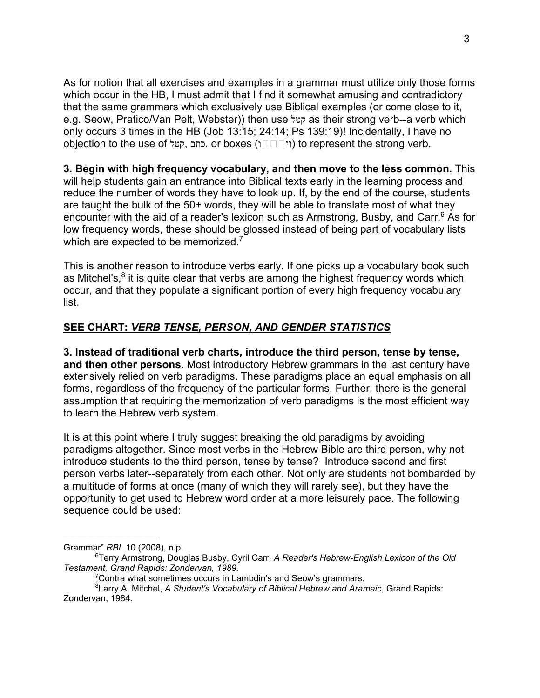As for notion that all exercises and examples in a grammar must utilize only those forms which occur in the HB, I must admit that I find it somewhat amusing and contradictory that the same grammars which exclusively use Biblical examples (or come close to it, e.g. Seow, Pratico/Van Pelt, Webster)) then use קטל as their strong verb--a verb which only occurs 3 times in the HB (Job 13:15; 24:14; Ps 139:19)! Incidentally, I have no objection to the use of קטל, כתב, or boxes (ווי (to represent the strong verb.

#### 3. Begin with high frequency vocabulary, and then move to the less common. This

will help students gain an entrance into Biblical texts early in the learning process and reduce the number of words they have to look up. If, by the end of the course, students are taught the bulk of the 50+ words, they will be able to translate most of what they encounter with the aid of a reader's lexicon such as Armstrong, Busby, and Carr.<sup>6</sup> As for low frequency words, these should be glossed instead of being part of vocabulary lists which are expected to be memorized.<sup>7</sup>

This is another reason to introduce verbs early. If one picks up a vocabulary book such as Mitchel's,<sup>8</sup> it is quite clear that verbs are among the highest frequency words which occur, and that they populate a significant portion of every high frequency vocabulary list.

## SEE CHART: VERB TENSE, PERSON, AND GENDER STATISTICS

3. Instead of traditional verb charts, introduce the third person, tense by tense, and then other persons. Most introductory Hebrew grammars in the last century have extensively relied on verb paradigms. These paradigms place an equal emphasis on all forms, regardless of the frequency of the particular forms. Further, there is the general assumption that requiring the memorization of verb paradigms is the most efficient way to learn the Hebrew verb system.

It is at this point where I truly suggest breaking the old paradigms by avoiding paradigms altogether. Since most verbs in the Hebrew Bible are third person, why not introduce students to the third person, tense by tense? Introduce second and first person verbs later--separately from each other. Not only are students not bombarded by a multitude of forms at once (many of which they will rarely see), but they have the opportunity to get used to Hebrew word order at a more leisurely pace. The following sequence could be used:

Grammar" RBL 10 (2008), n.p.

<sup>&</sup>lt;sup>6</sup>Terry Armstrong, Douglas Busby, Cyril Carr, A Reader's Hebrew-English Lexicon of the Old Testament, Grand Rapids: Zondervan, 1989.

<sup>&</sup>lt;sup>7</sup>Contra what sometimes occurs in Lambdin's and Seow's grammars.

 ${}^{8}$ Larry A. Mitchel, A Student's Vocabulary of Biblical Hebrew and Aramaic, Grand Rapids: Zondervan, 1984.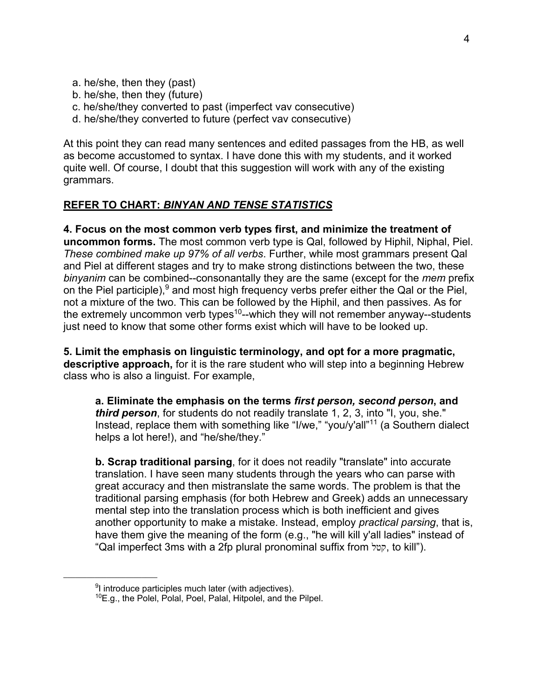- a. he/she, then they (past)
- b. he/she, then they (future)
- c. he/she/they converted to past (imperfect vav consecutive)
- d. he/she/they converted to future (perfect vav consecutive)

At this point they can read many sentences and edited passages from the HB, as well as become accustomed to syntax. I have done this with my students, and it worked quite well. Of course, I doubt that this suggestion will work with any of the existing grammars.

#### REFER TO CHART: BINYAN AND TENSE STATISTICS

4. Focus on the most common verb types first, and minimize the treatment of uncommon forms. The most common verb type is Qal, followed by Hiphil, Niphal, Piel. These combined make up 97% of all verbs. Further, while most grammars present Qal and Piel at different stages and try to make strong distinctions between the two, these binyanim can be combined--consonantally they are the same (except for the mem prefix on the Piel participle),<sup>9</sup> and most high frequency verbs prefer either the Qal or the Piel, not a mixture of the two. This can be followed by the Hiphil, and then passives. As for the extremely uncommon verb types<sup>10</sup>--which they will not remember anyway--students just need to know that some other forms exist which will have to be looked up.

5. Limit the emphasis on linguistic terminology, and opt for a more pragmatic, descriptive approach, for it is the rare student who will step into a beginning Hebrew class who is also a linguist. For example,

a. Eliminate the emphasis on the terms first person, second person, and third person, for students do not readily translate 1, 2, 3, into "I, you, she." Instead, replace them with something like "I/we," "you/y'all"<sup>11</sup> (a Southern dialect helps a lot here!), and "he/she/they."

b. Scrap traditional parsing, for it does not readily "translate" into accurate translation. I have seen many students through the years who can parse with great accuracy and then mistranslate the same words. The problem is that the traditional parsing emphasis (for both Hebrew and Greek) adds an unnecessary mental step into the translation process which is both inefficient and gives another opportunity to make a mistake. Instead, employ practical parsing, that is, have them give the meaning of the form (e.g., "he will kill y'all ladies" instead of "Qal imperfect 3ms with a 2fp plural pronominal suffix from קטל, to kill").

<sup>&</sup>lt;sup>9</sup>I introduce participles much later (with adjectives).

<sup>10</sup>E.g., the Polel, Polal, Poel, Palal, Hitpolel, and the Pilpel.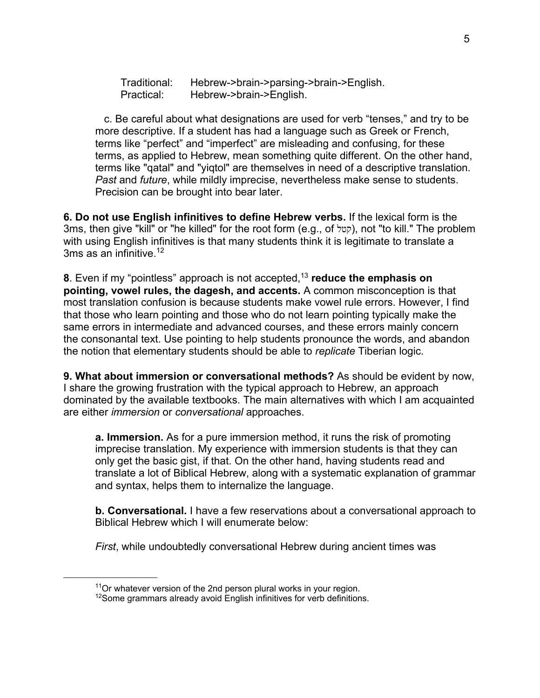Traditional: Hebrew->brain->parsing->brain->English. Practical: Hebrew->brain->English.

 c. Be careful about what designations are used for verb "tenses," and try to be more descriptive. If a student has had a language such as Greek or French, terms like "perfect" and "imperfect" are misleading and confusing, for these terms, as applied to Hebrew, mean something quite different. On the other hand, terms like "qatal" and "yiqtol" are themselves in need of a descriptive translation. Past and future, while mildly imprecise, nevertheless make sense to students. Precision can be brought into bear later.

6. Do not use English infinitives to define Hebrew verbs. If the lexical form is the 3ms, then give "kill" or "he killed" for the root form (e.g., of קטל), not "to kill." The problem with using English infinitives is that many students think it is legitimate to translate a 3ms as an infinitive.  $12$ 

8. Even if my "pointless" approach is not accepted,  $13$  reduce the emphasis on pointing, vowel rules, the dagesh, and accents. A common misconception is that most translation confusion is because students make vowel rule errors. However, I find that those who learn pointing and those who do not learn pointing typically make the same errors in intermediate and advanced courses, and these errors mainly concern the consonantal text. Use pointing to help students pronounce the words, and abandon the notion that elementary students should be able to replicate Tiberian logic.

9. What about immersion or conversational methods? As should be evident by now, I share the growing frustration with the typical approach to Hebrew, an approach dominated by the available textbooks. The main alternatives with which I am acquainted are either immersion or conversational approaches.

a. Immersion. As for a pure immersion method, it runs the risk of promoting imprecise translation. My experience with immersion students is that they can only get the basic gist, if that. On the other hand, having students read and translate a lot of Biblical Hebrew, along with a systematic explanation of grammar and syntax, helps them to internalize the language.

b. Conversational. I have a few reservations about a conversational approach to Biblical Hebrew which I will enumerate below:

First, while undoubtedly conversational Hebrew during ancient times was

 $11$ Or whatever version of the 2nd person plural works in your region.

<sup>&</sup>lt;sup>12</sup>Some grammars already avoid English infinitives for verb definitions.